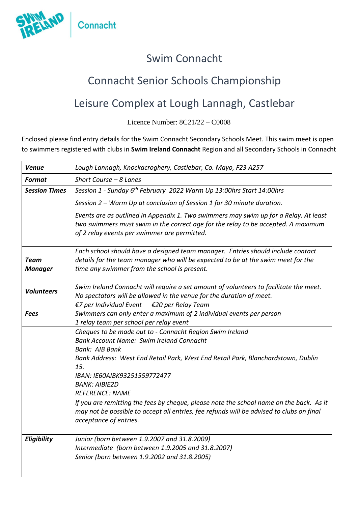

## Swim Connacht

## Connacht Senior Schools Championship

## Leisure Complex at Lough Lannagh, Castlebar

Licence Number: 8C21/22 – C0008

Enclosed please find entry details for the Swim Connacht Secondary Schools Meet. This swim meet is open to swimmers registered with clubs in **Swim Ireland Connacht** Region and all Secondary Schools in Connacht

| <b>Venue</b>                  | Lough Lannagh, Knockacroghery, Castlebar, Co. Mayo, F23 A257                                                                                                                                                                                                                                                                                                                                                                                                                                                                       |
|-------------------------------|------------------------------------------------------------------------------------------------------------------------------------------------------------------------------------------------------------------------------------------------------------------------------------------------------------------------------------------------------------------------------------------------------------------------------------------------------------------------------------------------------------------------------------|
| <b>Format</b>                 | Short Course - 8 Lanes                                                                                                                                                                                                                                                                                                                                                                                                                                                                                                             |
| <b>Session Times</b>          | Session 1 - Sunday 6 <sup>th</sup> February 2022 Warm Up 13:00hrs Start 14:00hrs                                                                                                                                                                                                                                                                                                                                                                                                                                                   |
|                               | Session 2 – Warm Up at conclusion of Session 1 for 30 minute duration.                                                                                                                                                                                                                                                                                                                                                                                                                                                             |
|                               | Events are as outlined in Appendix 1. Two swimmers may swim up for a Relay. At least<br>two swimmers must swim in the correct age for the relay to be accepted. A maximum<br>of 2 relay events per swimmer are permitted.                                                                                                                                                                                                                                                                                                          |
| <b>Team</b><br><b>Manager</b> | Each school should have a designed team manager. Entries should include contact<br>details for the team manager who will be expected to be at the swim meet for the<br>time any swimmer from the school is present.                                                                                                                                                                                                                                                                                                                |
| <b>Volunteers</b>             | Swim Ireland Connacht will require a set amount of volunteers to facilitate the meet.<br>No spectators will be allowed in the venue for the duration of meet.                                                                                                                                                                                                                                                                                                                                                                      |
| Fees                          | $E$ 7 per Individual Event<br>€20 per Relay Team<br>Swimmers can only enter a maximum of 2 individual events per person<br>1 relay team per school per relay event                                                                                                                                                                                                                                                                                                                                                                 |
|                               | Cheques to be made out to - Connacht Region Swim Ireland<br><b>Bank Account Name: Swim Ireland Connacht</b><br><b>Bank: AIB Bank</b><br>Bank Address: West End Retail Park, West End Retail Park, Blanchardstown, Dublin<br>15.<br>IBAN: IE60AIBK93251559772477<br><b>BANK: AIBIE2D</b><br><b>REFERENCE: NAME</b><br>If you are remitting the fees by cheque, please note the school name on the back. As it<br>may not be possible to accept all entries, fee refunds will be advised to clubs on final<br>acceptance of entries. |
| Eligibility                   | Junior (born between 1.9.2007 and 31.8.2009)<br>Intermediate (born between 1.9.2005 and 31.8.2007)<br>Senior (born between 1.9.2002 and 31.8.2005)                                                                                                                                                                                                                                                                                                                                                                                 |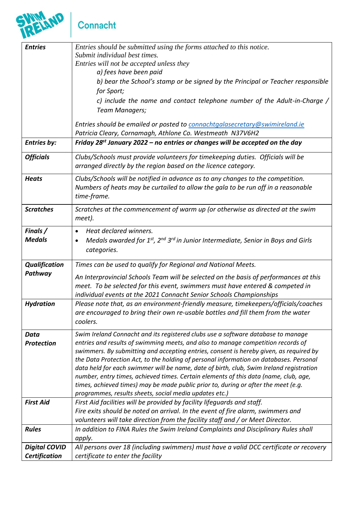# Connacht

SWIM

| <b>Entries</b>       | Entries should be submitted using the forms attached to this notice.<br>Submit individual best times.                                                                      |
|----------------------|----------------------------------------------------------------------------------------------------------------------------------------------------------------------------|
|                      | Entries will not be accepted unless they                                                                                                                                   |
|                      | a) fees have been paid                                                                                                                                                     |
|                      | b) bear the School's stamp or be signed by the Principal or Teacher responsible                                                                                            |
|                      | for Sport;                                                                                                                                                                 |
|                      | c) include the name and contact telephone number of the Adult-in-Charge /                                                                                                  |
|                      | Team Managers;                                                                                                                                                             |
|                      | Entries should be emailed or posted to connachtgalasecretary@swimireland.ie                                                                                                |
|                      | Patricia Cleary, Cornamagh, Athlone Co. Westmeath N37V6H2                                                                                                                  |
| <b>Entries by:</b>   | Friday 28 <sup>st</sup> January 2022 – no entries or changes will be accepted on the day                                                                                   |
| <b>Officials</b>     | Clubs/Schools must provide volunteers for timekeeping duties. Officials will be                                                                                            |
|                      | arranged directly by the region based on the licence category.                                                                                                             |
| <b>Heats</b>         | Clubs/Schools will be notified in advance as to any changes to the competition.                                                                                            |
|                      | Numbers of heats may be curtailed to allow the gala to be run off in a reasonable                                                                                          |
|                      | time-frame.                                                                                                                                                                |
| <b>Scratches</b>     | Scratches at the commencement of warm up (or otherwise as directed at the swim                                                                                             |
|                      | meet).                                                                                                                                                                     |
| Finals /             | Heat declared winners.<br>$\bullet$                                                                                                                                        |
| <b>Medals</b>        | Medals awarded for 1st, 2nd 3rd in Junior Intermediate, Senior in Boys and Girls<br>$\bullet$                                                                              |
|                      | categories.                                                                                                                                                                |
| <b>Qualification</b> | Times can be used to qualify for Regional and National Meets.                                                                                                              |
| Pathway              | An Interprovincial Schools Team will be selected on the basis of performances at this                                                                                      |
|                      | meet. To be selected for this event, swimmers must have entered & competed in                                                                                              |
|                      | individual events at the 2021 Connacht Senior Schools Championships                                                                                                        |
| <b>Hydration</b>     | Please note that, as an environment-friendly measure, timekeepers/officials/coaches                                                                                        |
|                      | are encouraged to bring their own re-usable bottles and fill them from the water<br>coolers.                                                                               |
|                      |                                                                                                                                                                            |
| Data                 | Swim Ireland Connacht and its registered clubs use a software database to manage                                                                                           |
| <b>Protection</b>    | entries and results of swimming meets, and also to manage competition records of<br>swimmers. By submitting and accepting entries, consent is hereby given, as required by |
|                      | the Data Protection Act, to the holding of personal information on databases. Personal                                                                                     |
|                      | data held for each swimmer will be name, date of birth, club, Swim Ireland registration                                                                                    |
|                      | number, entry times, achieved times. Certain elements of this data (name, club, age,                                                                                       |
|                      | times, achieved times) may be made public prior to, during or after the meet (e.g.                                                                                         |
| <b>First Aid</b>     | programmes, results sheets, social media updates etc.)<br>First Aid facilities will be provided by facility lifeguards and staff.                                          |
|                      | Fire exits should be noted on arrival. In the event of fire alarm, swimmers and                                                                                            |
|                      | volunteers will take direction from the facility staff and / or Meet Director.                                                                                             |
| <b>Rules</b>         | In addition to FINA Rules the Swim Ireland Complaints and Disciplinary Rules shall                                                                                         |
|                      | apply.                                                                                                                                                                     |
| <b>Digital COVID</b> | All persons over 18 (including swimmers) must have a valid DCC certificate or recovery                                                                                     |
| <b>Certification</b> | certificate to enter the facility                                                                                                                                          |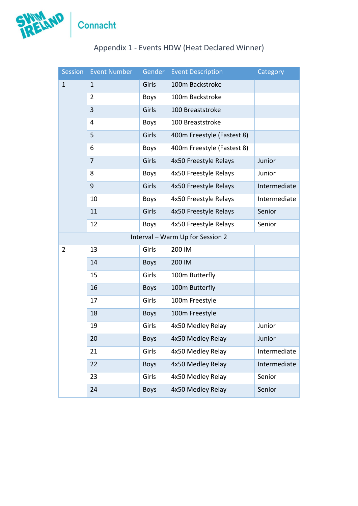

| Session     | Event Number   | Gender      | <b>Event Description</b>         | Category     |
|-------------|----------------|-------------|----------------------------------|--------------|
| $\mathbf 1$ | $\mathbf{1}$   | Girls       | 100m Backstroke                  |              |
|             | $\overline{2}$ | <b>Boys</b> | 100m Backstroke                  |              |
|             | 3              | Girls       | 100 Breaststroke                 |              |
|             | $\overline{4}$ | <b>Boys</b> | 100 Breaststroke                 |              |
|             | 5              | Girls       | 400m Freestyle (Fastest 8)       |              |
|             | 6              | <b>Boys</b> | 400m Freestyle (Fastest 8)       |              |
|             | $\overline{7}$ | Girls       | 4x50 Freestyle Relays            | Junior       |
|             | 8              | <b>Boys</b> | 4x50 Freestyle Relays            | Junior       |
|             | 9              | Girls       | 4x50 Freestyle Relays            | Intermediate |
|             | 10             | <b>Boys</b> | 4x50 Freestyle Relays            | Intermediate |
|             | 11             | Girls       | 4x50 Freestyle Relays            | Senior       |
|             | 12             | <b>Boys</b> | 4x50 Freestyle Relays            | Senior       |
|             |                |             | Interval - Warm Up for Session 2 |              |
| 2           | 13             | Girls       | 200 IM                           |              |
|             | 14             | <b>Boys</b> | 200 IM                           |              |
|             | 15             | Girls       | 100m Butterfly                   |              |
|             | 16             | <b>Boys</b> | 100m Butterfly                   |              |
|             | 17             | Girls       | 100m Freestyle                   |              |
|             | 18             | <b>Boys</b> | 100m Freestyle                   |              |
|             | 19             | Girls       | 4x50 Medley Relay                | Junior       |
|             | 20             | <b>Boys</b> | 4x50 Medley Relay                | Junior       |
|             | 21             | Girls       | 4x50 Medley Relay                | Intermediate |
|             | 22             | <b>Boys</b> | 4x50 Medley Relay                | Intermediate |
|             | 23             | Girls       | 4x50 Medley Relay                | Senior       |
|             | 24             | <b>Boys</b> | 4x50 Medley Relay                | Senior       |

### Appendix 1 - Events HDW (Heat Declared Winner)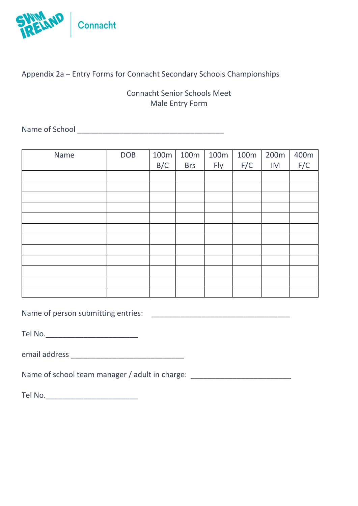

#### Appendix 2a – Entry Forms for Connacht Secondary Schools Championships

Connacht Senior Schools Meet Male Entry Form

Name of School \_\_\_\_\_\_\_\_\_\_\_\_\_\_\_\_\_\_\_\_\_\_\_\_\_\_\_\_\_\_\_\_\_\_\_

| Name | <b>DOB</b> | 100 <sub>m</sub> | 100 <sub>m</sub> | 100m | 100 <sub>m</sub> | 200 <sub>m</sub> | $400m$<br>$F/C$ |
|------|------------|------------------|------------------|------|------------------|------------------|-----------------|
|      |            | B/C              | <b>Brs</b>       | Fly  | F/C              | IM               |                 |
|      |            |                  |                  |      |                  |                  |                 |
|      |            |                  |                  |      |                  |                  |                 |
|      |            |                  |                  |      |                  |                  |                 |
|      |            |                  |                  |      |                  |                  |                 |
|      |            |                  |                  |      |                  |                  |                 |
|      |            |                  |                  |      |                  |                  |                 |
|      |            |                  |                  |      |                  |                  |                 |
|      |            |                  |                  |      |                  |                  |                 |
|      |            |                  |                  |      |                  |                  |                 |
|      |            |                  |                  |      |                  |                  |                 |
|      |            |                  |                  |      |                  |                  |                 |
|      |            |                  |                  |      |                  |                  |                 |

Name of person submitting entries: \_\_\_\_\_\_\_\_\_\_\_\_\_\_\_\_\_\_\_\_\_\_\_\_\_\_\_\_\_\_\_\_\_

Tel No.\_\_\_\_\_\_\_\_\_\_\_\_\_\_\_\_\_\_\_\_\_\_

email address \_\_\_\_\_\_\_\_\_\_\_\_\_\_\_\_\_\_\_\_\_\_\_\_\_\_\_

Name of school team manager / adult in charge: \_\_\_\_\_\_\_\_\_\_\_\_\_\_\_\_\_\_\_\_\_\_\_\_\_\_\_\_\_\_\_\_\_

Tel No.\_\_\_\_\_\_\_\_\_\_\_\_\_\_\_\_\_\_\_\_\_\_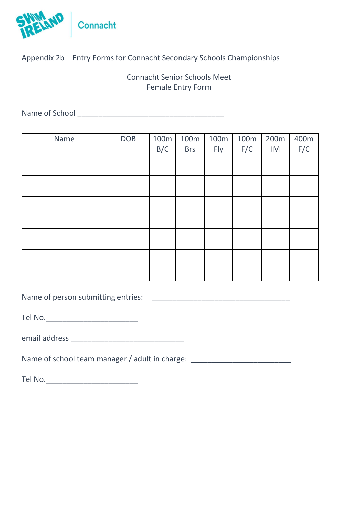

#### Appendix 2b – Entry Forms for Connacht Secondary Schools Championships

#### Connacht Senior Schools Meet Female Entry Form

Name of School \_\_\_\_\_\_\_\_\_\_\_\_\_\_\_\_\_\_\_\_\_\_\_\_\_\_\_\_\_\_\_\_\_\_\_

| Name | <b>DOB</b> | 100m<br>B/C | 100m<br><b>Brs</b> | 100m<br>Fly | 100 <sub>m</sub><br>F/C | 200 <sub>m</sub><br>IM | $400m$<br>$F/C$ |
|------|------------|-------------|--------------------|-------------|-------------------------|------------------------|-----------------|
|      |            |             |                    |             |                         |                        |                 |
|      |            |             |                    |             |                         |                        |                 |
|      |            |             |                    |             |                         |                        |                 |
|      |            |             |                    |             |                         |                        |                 |
|      |            |             |                    |             |                         |                        |                 |
|      |            |             |                    |             |                         |                        |                 |
|      |            |             |                    |             |                         |                        |                 |
|      |            |             |                    |             |                         |                        |                 |
|      |            |             |                    |             |                         |                        |                 |
|      |            |             |                    |             |                         |                        |                 |
|      |            |             |                    |             |                         |                        |                 |
|      |            |             |                    |             |                         |                        |                 |

Name of person submitting entries: \_\_\_\_\_\_\_\_\_\_\_\_\_\_\_\_\_\_\_\_\_\_\_\_\_\_\_\_\_\_\_\_\_

Tel No.\_\_\_\_\_\_\_\_\_\_\_\_\_\_\_\_\_\_\_\_\_\_

email address \_\_\_\_\_\_\_\_\_\_\_\_\_\_\_\_\_\_\_\_\_\_\_\_\_\_\_

Name of school team manager / adult in charge: \_\_\_\_\_\_\_\_\_\_\_\_\_\_\_\_\_\_\_\_\_\_\_\_\_\_\_\_\_\_\_\_\_

Tel No.\_\_\_\_\_\_\_\_\_\_\_\_\_\_\_\_\_\_\_\_\_\_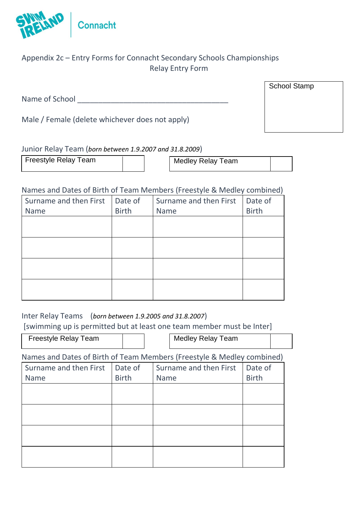

#### Appendix 2c – Entry Forms for Connacht Secondary Schools Championships Relay Entry Form

Name of School **Example 20** 

Male / Female (delete whichever does not apply)

#### Junior Relay Team (*born between 1.9.2007 and 31.8.2009*)

Freestyle Relay Team  $\vert$  | Medley Relay Team

#### Names and Dates of Birth of Team Members (Freestyle & Medley combined)

| Surname and then First | Date of      | Surname and then First | Date of      |
|------------------------|--------------|------------------------|--------------|
| <b>Name</b>            | <b>Birth</b> | <b>Name</b>            | <b>Birth</b> |
|                        |              |                        |              |
|                        |              |                        |              |
|                        |              |                        |              |
|                        |              |                        |              |
|                        |              |                        |              |
|                        |              |                        |              |
|                        |              |                        |              |
|                        |              |                        |              |

Inter Relay Teams (*born between 1.9.2005 and 31.8.2007*)

[swimming up is permitted but at least one team member must be Inter]

Names and Dates of Birth of Team Members (Freestyle & Medley combined) Freestyle Relay Team Medley Relay Team

| Surname and then First<br>Name | Date of<br><b>Birth</b> | Surname and then First<br>Name | Date of<br><b>Birth</b> |
|--------------------------------|-------------------------|--------------------------------|-------------------------|
|                                |                         |                                |                         |
|                                |                         |                                |                         |
|                                |                         |                                |                         |
|                                |                         |                                |                         |

School Stamp